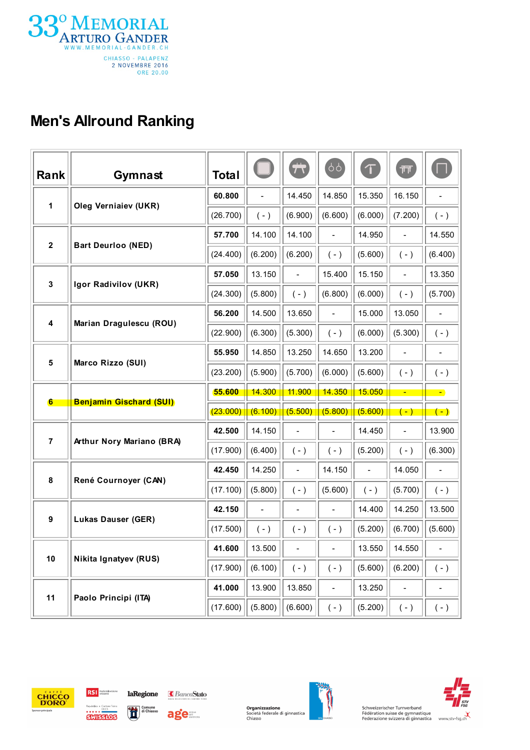

## Men's Allround Ranking

| Rank             | Gymnast                        | Total    |                          | $\ddot{\pi}$             | 99                           | $\tau$                   | गा                       |                              |
|------------------|--------------------------------|----------|--------------------------|--------------------------|------------------------------|--------------------------|--------------------------|------------------------------|
| 1                | <b>Oleg Vernialev (UKR)</b>    | 60.800   | $\overline{\phantom{m}}$ | 14.450                   | 14.850                       | 15.350                   | 16.150                   | $\overline{\phantom{0}}$     |
|                  |                                | (26.700) | $(-)$                    | (6.900)                  | (6.600)                      | (6.000)                  | (7.200)                  | $(-)$                        |
| $\mathbf 2$      | <b>Bart Deurloo (NED)</b>      | 57.700   | 14.100                   | 14.100                   | $\blacksquare$               | 14.950                   | $\overline{\phantom{0}}$ | 14.550                       |
|                  |                                | (24.400) | (6.200)                  | (6.200)                  | $(-)$                        | (5.600)                  | $(-)$                    | (6.400)                      |
| $\mathbf 3$      | Igor Radivilov (UKR)           | 57.050   | 13.150                   | $\blacksquare$           | 15.400                       | 15.150                   | $\overline{a}$           | 13.350                       |
|                  |                                | (24.300) | (5.800)                  | $(-)$                    | (6.800)                      | (6.000)                  | $(-)$                    | (5.700)                      |
| 4                | Marian Dragulescu (ROU)        | 56.200   | 14.500                   | 13.650                   | $\qquad \qquad -$            | 15.000                   | 13.050                   | $\qquad \qquad \blacksquare$ |
|                  |                                | (22.900) | (6.300)                  | (5.300)                  | $(-)$                        | (6.000)                  | (5.300)                  | $(-)$                        |
| 5                | Marco Rizzo (SUI)              | 55.950   | 14.850                   | 13.250                   | 14.650                       | 13.200                   | $\overline{\phantom{0}}$ | $\qquad \qquad \blacksquare$ |
|                  |                                | (23.200) | (5.900)                  | (5.700)                  | (6.000)                      | (5.600)                  | $(-)$                    | $(-)$                        |
|                  |                                |          |                          |                          |                              |                          |                          |                              |
|                  |                                | 55.600   | 14.300                   | 11.900                   | 14.350                       | <b>15.050</b>            | $\blacksquare$           | $\blacksquare$               |
| 6                | <b>Benjamin Gischard (SUI)</b> | (23.000) | (6.100)                  | (5.500)                  | (5.800)                      | (5.600)                  | $(-)$                    | $(-)$                        |
|                  |                                | 42.500   | 14.150                   | $\overline{\phantom{m}}$ |                              | 14.450                   | $\overline{\phantom{a}}$ | 13.900                       |
| $\overline{7}$   | Arthur Nory Mariano (BRA)      | (17.900) | (6.400)                  | $(-)$                    | $(-)$                        | (5.200)                  | $(-)$                    | (6.300)                      |
|                  |                                | 42.450   | 14.250                   | $\overline{\phantom{a}}$ | 14.150                       | $\overline{\phantom{0}}$ | 14.050                   | $\qquad \qquad \blacksquare$ |
| 8                | René Cournoyer (CAN)           | (17.100) | (5.800)                  | $(-)$                    | (5.600)                      | $(-)$                    | (5.700)                  | $(-)$                        |
|                  |                                | 42.150   | $\blacksquare$           | $\overline{\phantom{a}}$ | $\qquad \qquad \blacksquare$ | 14.400                   | 14.250                   | 13.500                       |
| $\boldsymbol{9}$ | <b>Lukas Dauser (GER)</b>      | (17.500) | $(-)$                    | $(-)$                    | $(-)$                        | (5.200)                  | (6.700)                  | (5.600)                      |
|                  |                                | 41.600   | 13.500                   |                          |                              | 13.550                   | 14.550                   |                              |
| 10               | Nikita Ignatyev (RUS)          | (17.900) | (6.100)                  | $(\ -\ )$                | $(-)$                        | (5.600)                  | (6.200)                  | $(-)$                        |
| 11               | Paolo Principi (ITA)           | 41.000   | 13.900                   | 13.850                   | $\overline{\phantom{0}}$     | 13.250                   | $\overline{\phantom{0}}$ | $\overline{\phantom{0}}$     |









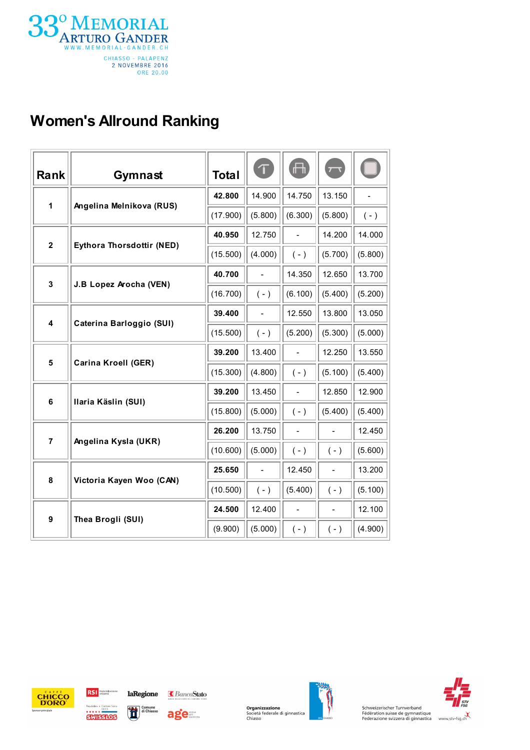

## Women's Allround Ranking

| Rank                    | Gymnast                          | <b>Total</b> | $\tau$                   | $\Box$                   | $\overline{\phantom{a}}$     |         |
|-------------------------|----------------------------------|--------------|--------------------------|--------------------------|------------------------------|---------|
| 1                       | Angelina Melnikova (RUS)         | 42.800       | 14.900                   | 14.750                   | 13.150                       |         |
|                         |                                  | (17.900)     | (5.800)                  | (6.300)                  | (5.800)                      | $(-)$   |
| $\mathbf 2$             | <b>Eythora Thorsdottir (NED)</b> | 40.950       | 12.750                   | $\overline{a}$           | 14.200                       | 14.000  |
|                         |                                  | (15.500)     | (4.000)                  | $(-)$                    | (5.700)                      | (5.800) |
| 3                       | J.B Lopez Arocha (VEN)           | 40.700       | $\frac{1}{2}$            | 14.350                   | 12.650                       | 13.700  |
|                         |                                  | (16.700)     | $(-)$                    | (6.100)                  | (5.400)                      | (5.200) |
| $\overline{\mathbf{4}}$ | Caterina Barloggio (SUI)         | 39.400       | $\blacksquare$           | 12.550                   | 13.800                       | 13.050  |
|                         |                                  | (15.500)     | $(-)$                    | (5.200)                  | (5.300)                      | (5.000) |
| 5                       | <b>Carina Kroell (GER)</b>       | 39.200       | 13.400                   | $\overline{a}$           | 12.250                       | 13.550  |
|                         |                                  | (15.300)     | (4.800)                  | $(-)$                    | (5.100)                      | (5.400) |
| 6                       | Ilaria Käslin (SUI)              | 39.200       | 13.450                   | $\overline{a}$           | 12.850                       | 12.900  |
|                         |                                  | (15.800)     | (5.000)                  | $(-)$                    | (5.400)                      | (5.400) |
| $\overline{7}$          | Angelina Kysla (UKR)             | 26.200       | 13.750                   | $\overline{\phantom{a}}$ | $\overline{a}$               | 12.450  |
|                         |                                  | (10.600)     | (5.000)                  | $(-)$                    | $(-)$                        | (5.600) |
| 8                       | Victoria Kayen Woo (CAN)         | 25.650       | $\overline{\phantom{a}}$ | 12.450                   | $\qquad \qquad \blacksquare$ | 13.200  |
|                         |                                  | (10.500)     | $(-)$                    | (5.400)                  | $(-)$                        | (5.100) |
| 9                       | Thea Brogli (SUI)                | 24.500       | 12.400                   | $\overline{a}$           | $\frac{1}{2}$                | 12.100  |
|                         |                                  | (9.900)      | (5.000)                  | $(-)$                    | $(-)$                        | (4.900) |





age





Schweizerischer Turnverband<br>
Fédération suisse de gymnastique<br>
Federazione svizzera di ginnastica vww.stv-fsg.ch

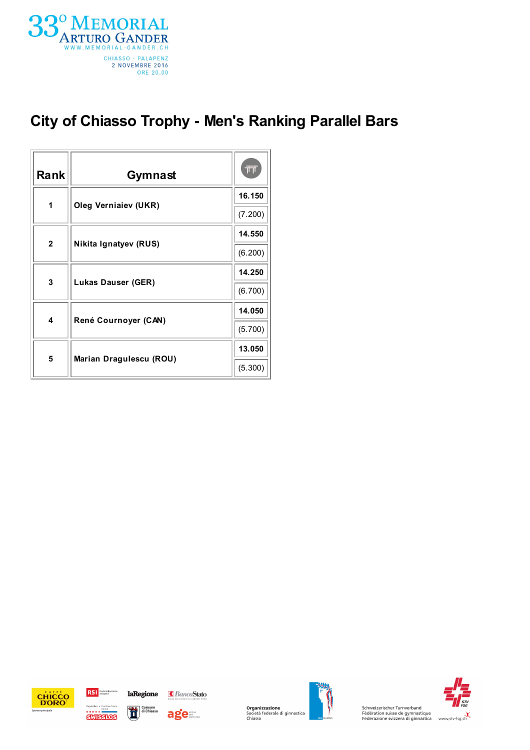

## City of Chiasso Trophy - Men's Ranking Parallel Bars

| Rank         | Gymnast                     | 帀       |
|--------------|-----------------------------|---------|
| 1            | <b>Oleg Verniaiev (UKR)</b> | 16.150  |
|              |                             | (7.200) |
| $\mathbf{2}$ | Nikita Ignatyev (RUS)       | 14.550  |
|              |                             | (6.200) |
| 3            | <b>Lukas Dauser (GER)</b>   | 14.250  |
|              |                             | (6.700) |
| 4            |                             | 14.050  |
|              | René Cournoyer (CAN)        | (5.700) |
| 5            |                             | 13.050  |
|              | Marian Dragulescu (ROU)     | (5.300) |







age